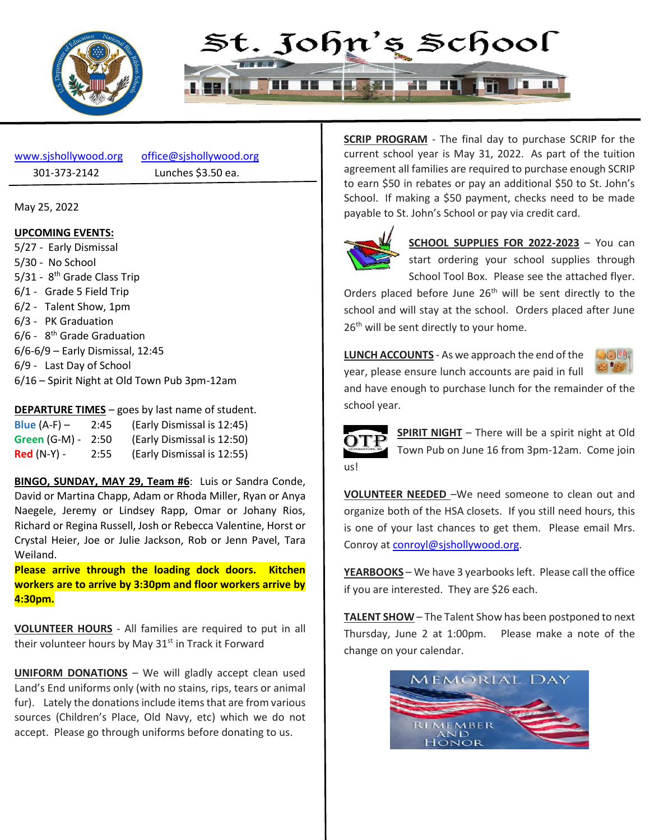



301-373-2142 Lunches \$3.50 ea.

[www.sjshollywood.org](http://www.sjshollywood.org/) [office@sjshollywood.org](mailto:office@sjshollywood.org)

May 25, 2022

#### **UPCOMING EVENTS:**

5/27 - Early Dismissal 5/30 - No School 5/31 - 8<sup>th</sup> Grade Class Trip 6/1 - Grade 5 Field Trip 6/2 - Talent Show, 1pm 6/3 - PK Graduation 6/6 - 8<sup>th</sup> Grade Graduation 6/6-6/9 – Early Dismissal, 12:45 6/9 - Last Day of School 6/16 – Spirit Night at Old Town Pub 3pm-12am

#### **DEPARTURE TIMES** – goes by last name of student.

| Blue $(A-F)$ –     | 2:45 | (Early Dismissal is 12:45) |
|--------------------|------|----------------------------|
| Green (G-M) - 2:50 |      | (Early Dismissal is 12:50) |
| $Red(N-Y)$ -       | 2:55 | (Early Dismissal is 12:55) |

**BINGO, SUNDAY, MAY 29, Team #6**: Luis or Sandra Conde, David or Martina Chapp, Adam or Rhoda Miller, Ryan or Anya Naegele, Jeremy or Lindsey Rapp, Omar or Johany Rios, Richard or Regina Russell, Josh or Rebecca Valentine, Horst or Crystal Heier, Joe or Julie Jackson, Rob or Jenn Pavel, Tara Weiland.

**Please arrive through the loading dock doors. Kitchen workers are to arrive by 3:30pm and floor workers arrive by 4:30pm.**

**VOLUNTEER HOURS** - All families are required to put in all their volunteer hours by May  $31<sup>st</sup>$  in Track it Forward

**UNIFORM DONATIONS** – We will gladly accept clean used Land's End uniforms only (with no stains, rips, tears or animal fur). Lately the donations include items that are from various sources (Children's Place, Old Navy, etc) which we do not accept. Please go through uniforms before donating to us.

**SCRIP PROGRAM** - The final day to purchase SCRIP for the current school year is May 31, 2022. As part of the tuition agreement all families are required to purchase enough SCRIP to earn \$50 in rebates or pay an additional \$50 to St. John's School. If making a \$50 payment, checks need to be made payable to St. John's School or pay via credit card.



**SCHOOL SUPPLIES FOR 2022-2023** – You can start ordering your school supplies through School Tool Box. Please see the attached flyer.

Orders placed before June 26<sup>th</sup> will be sent directly to the school and will stay at the school. Orders placed after June 26<sup>th</sup> will be sent directly to your home.

**LUNCH ACCOUNTS** - As we approach the end of the year, please ensure lunch accounts are paid in full



and have enough to purchase lunch for the remainder of the school year.



**SPIRIT NIGHT** – There will be a spirit night at Old Town Pub on June 16 from 3pm-12am. Come join

**VOLUNTEER NEEDED** –We need someone to clean out and organize both of the HSA closets. If you still need hours, this is one of your last chances to get them. Please email Mrs. Conroy at [conroyl@sjshollywood.org.](mailto:conroyl@sjshollywood.org)

**YEARBOOKS** – We have 3 yearbooks left. Please call the office if you are interested. They are \$26 each.

**TALENT SHOW** – The Talent Show has been postponed to next Thursday, June 2 at 1:00pm. Please make a note of the change on your calendar.

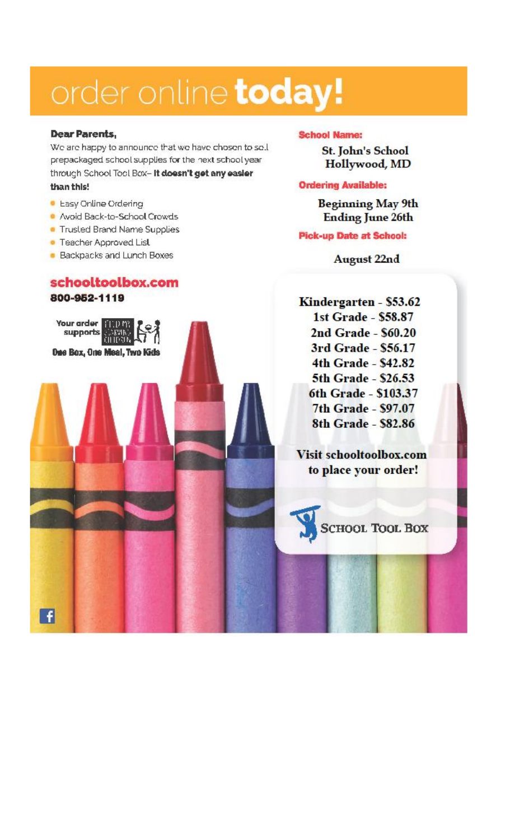## order online today!

#### Dear Parents,

We are happy to announce that we have chosen to sell prepackaged school supplies for the next school year through School Tool Box- It doesn't get any easier than this!

- **C** Easy Online Ordering
- Avoid Back-to-School Crowds
- Trusted Brand Name Supplies
- Teacher Approved List

Your arder **HOU** h supports

 $\mathbf{f}$ 

**Backpacks and Lunch Boxes** 

#### schooltoolbox.com 800-952-1119

Dee Box, One Meal, Two Kids

#### **School Name:**

**St. John's School** Hollywood, MD

#### **Ordering Available:**

**Beginning May 9th Ending June 26th** 

#### **Pick-up Date at School:**

**August 22nd** 

Kindergarten - \$53.62 1st Grade - \$58.87 2nd Grade - \$60.20 3rd Grade - \$56.17 4th Grade - \$42.82 5th Grade - \$26.53 6th Grade - \$103.37 7th Grade - \$97.07 8th Grade - \$82.86

**Visit schooltoolbox.com** to place your order!